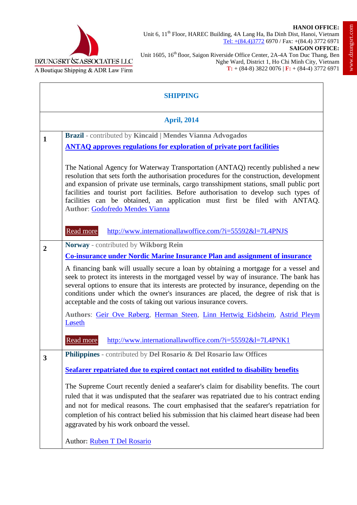



Unit 6, 11<sup>th</sup> Floor, HAREC Building, 4A Lang Ha, Ba Dinh Dist, Hanoi, Vietnam Tel: +(84.4)3772 6970 / Fax: +(84.4) 3772 6971

Unit 1605, 16<sup>th</sup> floor, Saigon Riverside Office Center, 2A-4A Ton Duc Thang, Ben Nghe Ward, District 1, Ho Chi Minh City, Vietnam **T:** + (84-8) 3822 0076 | **F:** + (84-4) 3772 6971

| <b>SHIPPING</b>    |                                                                                                                                                                                                                                                                                                                                                                                                                                                                                           |  |
|--------------------|-------------------------------------------------------------------------------------------------------------------------------------------------------------------------------------------------------------------------------------------------------------------------------------------------------------------------------------------------------------------------------------------------------------------------------------------------------------------------------------------|--|
| <b>April, 2014</b> |                                                                                                                                                                                                                                                                                                                                                                                                                                                                                           |  |
| $\mathbf{1}$       | Brazil - contributed by Kincaid   Mendes Vianna Advogados<br><b>ANTAQ approves regulations for exploration of private port facilities</b>                                                                                                                                                                                                                                                                                                                                                 |  |
|                    | The National Agency for Waterway Transportation (ANTAQ) recently published a new<br>resolution that sets forth the authorisation procedures for the construction, development<br>and expansion of private use terminals, cargo transshipment stations, small public port<br>facilities and tourist port facilities. Before authorisation to develop such types of<br>facilities can be obtained, an application must first be filed with ANTAQ.<br><b>Author: Godofredo Mendes Vianna</b> |  |
|                    | Read more<br>http://www.internationallawoffice.com/?i=55592&l=7L4PNJS                                                                                                                                                                                                                                                                                                                                                                                                                     |  |
| $\boldsymbol{2}$   | Norway - contributed by Wikborg Rein<br><b>Co-insurance under Nordic Marine Insurance Plan and assignment of insurance</b>                                                                                                                                                                                                                                                                                                                                                                |  |
|                    | A financing bank will usually secure a loan by obtaining a mortgage for a vessel and<br>seek to protect its interests in the mortgaged vessel by way of insurance. The bank has<br>several options to ensure that its interests are protected by insurance, depending on the<br>conditions under which the owner's insurances are placed, the degree of risk that is<br>acceptable and the costs of taking out various insurance covers.                                                  |  |
|                    | Authors: Geir Ove Røberg, Herman Steen, Linn Hertwig Eidsheim, Astrid Pleym<br>Løseth                                                                                                                                                                                                                                                                                                                                                                                                     |  |
|                    | Read more<br>http://www.internationallawoffice.com/?i=55592&l=7L4PNK1                                                                                                                                                                                                                                                                                                                                                                                                                     |  |
| 3                  | <b>Philippines</b> - contributed by <b>Del Rosario &amp; Del Rosario law Offices</b>                                                                                                                                                                                                                                                                                                                                                                                                      |  |
|                    | Seafarer repatriated due to expired contact not entitled to disability benefits                                                                                                                                                                                                                                                                                                                                                                                                           |  |
|                    | The Supreme Court recently denied a seafarer's claim for disability benefits. The court<br>ruled that it was undisputed that the seafarer was repatriated due to his contract ending<br>and not for medical reasons. The court emphasised that the seafarer's repatriation for<br>completion of his contract belied his submission that his claimed heart disease had been<br>aggravated by his work onboard the vessel.                                                                  |  |
|                    | Author: Ruben T Del Rosario                                                                                                                                                                                                                                                                                                                                                                                                                                                               |  |